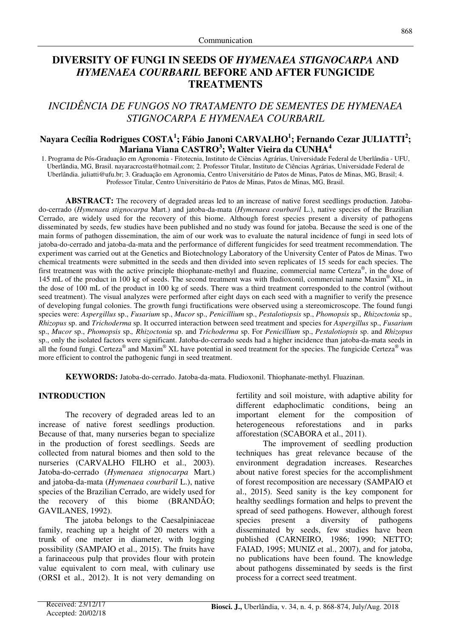# **DIVERSITY OF FUNGI IN SEEDS OF** *HYMENAEA STIGNOCARPA* **AND**  *HYMENAEA COURBARIL* **BEFORE AND AFTER FUNGICIDE TREATMENTS**

## *INCIDÊNCIA DE FUNGOS NO TRATAMENTO DE SEMENTES DE HYMENAEA STIGNOCARPA E HYMENAEA COURBARIL*

### **Nayara Cecília Rodrigues COSTA<sup>1</sup> ; Fábio Janoni CARVALHO<sup>1</sup> ; Fernando Cezar JULIATTI<sup>2</sup> ; Mariana Viana CASTRO<sup>3</sup> ; Walter Vieira da CUNHA<sup>4</sup>**

1. Programa de Pós-Graduação em Agronomia - Fitotecnia, Instituto de Ciências Agrárias, Universidade Federal de Uberlândia - UFU, Uberlândia, MG, Brasil. nayaracrcosta@hotmail.com; 2. Professor Titular, Instituto de Ciências Agrárias, Universidade Federal de Uberlândia. juliatti@ufu.br; 3. Graduação em Agronomia, Centro Universitário de Patos de Minas, Patos de Minas, MG, Brasil; 4. Professor Titular, Centro Universitário de Patos de Minas, Patos de Minas, MG, Brasil.

**ABSTRACT:** The recovery of degraded areas led to an increase of native forest seedlings production. Jatobado-cerrado (*Hymenaea stignocarpa* Mart.) and jatoba-da-mata (*Hymenaea courbaril* L.), native species of the Brazilian Cerrado, are widely used for the recovery of this biome. Although forest species present a diversity of pathogens disseminated by seeds, few studies have been published and no study was found for jatoba. Because the seed is one of the main forms of pathogen dissemination, the aim of our work was to evaluate the natural incidence of fungi in seed lots of jatoba-do-cerrado and jatoba-da-mata and the performance of different fungicides for seed treatment recommendation. The experiment was carried out at the Genetics and Biotechnology Laboratory of the University Center of Patos de Minas. Two chemical treatments were submitted in the seeds and then divided into seven replicates of 15 seeds for each species. The first treatment was with the active principle thiophanate-methyl and fluazine, commercial name Certeza<sup>®</sup>, in the dose of 145 mL of the product in 100 kg of seeds. The second treatment was with fludioxonil, commercial name Maxim<sup>®</sup> XL, in the dose of 100 mL of the product in 100 kg of seeds. There was a third treatment corresponded to the control (without seed treatment). The visual analyzes were performed after eight days on each seed with a magnifier to verify the presence of developing fungal colonies. The growth fungi fructifications were observed using a stereomicroscope. The found fungi species were: *Aspergillus* sp., *Fusarium* sp., *Mucor* sp., *Penicillium* sp., *Pestalotiopsis* sp., *Phomopsis* sp.*, Rhizoctonia* sp.*, Rhizopus* sp. and *Trichoderma* sp. It occurred interaction between seed treatment and species for *Aspergillus* sp., *Fusarium*  sp., *Mucor* sp., *Phomopsis* sp.*, Rhizoctonia* sp. and *Trichoderma* sp. For *Penicillium* sp., *Pestalotiopsis* sp. and *Rhizopus*  sp., only the isolated factors were significant. Jatoba-do-cerrado seeds had a higher incidence than jatoba-da-mata seeds in all the found fungi. Certeza® and Maxim® XL have potential in seed treatment for the species. The fungicide Certeza® was more efficient to control the pathogenic fungi in seed treatment.

**KEYWORDS:** Jatoba-do-cerrado. Jatoba-da-mata. Fludioxonil. Thiophanate-methyl. Fluazinan.

### **INTRODUCTION**

The recovery of degraded areas led to an increase of native forest seedlings production. Because of that, many nurseries began to specialize in the production of forest seedlings. Seeds are collected from natural biomes and then sold to the nurseries (CARVALHO FILHO et al., 2003). Jatoba-do-cerrado (*Hymenaea stignocarpa* Mart.) and jatoba-da-mata (*Hymenaea courbaril* L.), native species of the Brazilian Cerrado, are widely used for the recovery of this biome (BRANDÃO; GAVILANES, 1992).

The jatoba belongs to the Caesalpiniaceae family, reaching up a height of 20 meters with a trunk of one meter in diameter, with logging possibility (SAMPAIO et al., 2015). The fruits have a farinaceous pulp that provides flour with protein value equivalent to corn meal, with culinary use (ORSI et al., 2012). It is not very demanding on fertility and soil moisture, with adaptive ability for different edaphoclimatic conditions, being an important element for the composition of heterogeneous reforestations and in parks afforestation (SCABORA et al., 2011).

The improvement of seedling production techniques has great relevance because of the environment degradation increases. Researches about native forest species for the accomplishment of forest recomposition are necessary (SAMPAIO et al., 2015). Seed sanity is the key component for healthy seedlings formation and helps to prevent the spread of seed pathogens. However, although forest species present a diversity of pathogens disseminated by seeds, few studies have been published (CARNEIRO, 1986; 1990; NETTO; FAIAD, 1995; MUNIZ et al., 2007), and for jatoba, no publications have been found. The knowledge about pathogens disseminated by seeds is the first process for a correct seed treatment.

868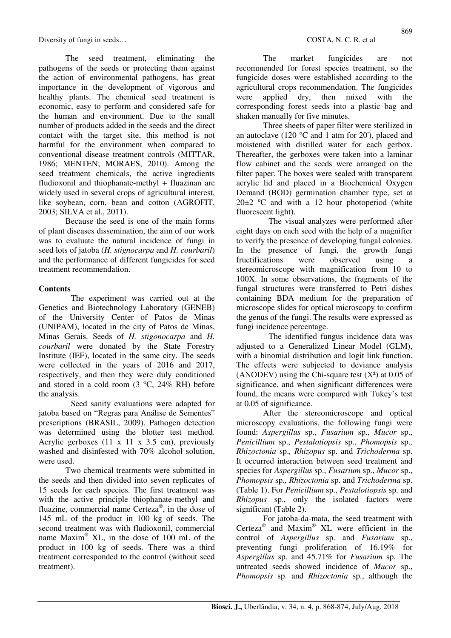The seed treatment, eliminating the pathogens of the seeds or protecting them against the action of environmental pathogens, has great importance in the development of vigorous and healthy plants. The chemical seed treatment is economic, easy to perform and considered safe for the human and environment. Due to the small number of products added in the seeds and the direct contact with the target site, this method is not harmful for the environment when compared to conventional disease treatment controls (MITTAR, 1986; MENTEN; MORAES, 2010). Among the seed treatment chemicals, the active ingredients fludioxonil and thiophanate-methyl + fluazinan are widely used in several crops of agricultural interest, like soybean, corn, bean and cotton (AGROFIT, 2003; SILVA et al., 2011).

Because the seed is one of the main forms of plant diseases dissemination, the aim of our work was to evaluate the natural incidence of fungi in seed lots of jatoba (*H. stignocarpa* and *H. courbaril*) and the performance of different fungicides for seed treatment recommendation.

### **Contents**

The experiment was carried out at the Genetics and Biotechnology Laboratory (GENEB) of the University Center of Patos de Minas (UNIPAM), located in the city of Patos de Minas, Minas Gerais. Seeds of *H. stigonocarpa* and *H. courbaril* were donated by the State Forestry Institute (IEF), located in the same city. The seeds were collected in the years of 2016 and 2017, respectively, and then they were duly conditioned and stored in a cold room (3 °C, 24% RH) before the analysis.

Seed sanity evaluations were adapted for jatoba based on "Regras para Análise de Sementes" prescriptions (BRASIL, 2009). Pathogen detection was determined using the blotter test method. Acrylic gerboxes  $(11 \times 11 \times 3.5 \text{ cm})$ , previously washed and disinfested with 70% alcohol solution. were used.

Two chemical treatments were submitted in the seeds and then divided into seven replicates of 15 seeds for each species. The first treatment was with the active principle thiophanate-methyl and fluazine, commercial name Certeza® , in the dose of 145 mL of the product in 100 kg of seeds. The second treatment was with fludioxonil, commercial name Maxim® XL, in the dose of 100 mL of the product in 100 kg of seeds. There was a third treatment corresponded to the control (without seed treatment).

The market fungicides are not recommended for forest species treatment, so the fungicide doses were established according to the agricultural crops recommendation. The fungicides were applied dry, then mixed with the corresponding forest seeds into a plastic bag and shaken manually for five minutes.

Three sheets of paper filter were sterilized in an autoclave (120 °C and 1 atm for 20'), placed and moistened with distilled water for each gerbox. Thereafter, the gerboxes were taken into a laminar flow cabinet and the seeds were arranged on the filter paper. The boxes were sealed with transparent acrylic lid and placed in a Biochemical Oxygen Demand (BOD) germination chamber type, set at  $20\pm2$  °C and with a 12 hour photoperiod (white fluorescent light).

The visual analyzes were performed after eight days on each seed with the help of a magnifier to verify the presence of developing fungal colonies. In the presence of fungi, the growth fungi fructifications were observed using a stereomicroscope with magnification from 10 to 100X. In some observations, the fragments of the fungal structures were transferred to Petri dishes containing BDA medium for the preparation of microscope slides for optical microscopy to confirm the genus of the fungi. The results were expressed as fungi incidence percentage.

The identified fungus incidence data was adjusted to a Generalized Linear Model (GLM), with a binomial distribution and logit link function. The effects were subjected to deviance analysis (ANODEV) using the Chi-square test  $(X^2)$  at 0.05 of significance, and when significant differences were found, the means were compared with Tukey's test at 0.05 of significance.

After the stereomicroscope and optical microscopy evaluations, the following fungi were found: *Aspergillus* sp., *Fusarium* sp., *Mucor* sp., *Penicillium* sp., *Pestalotiopsis* sp., *Phomopsis* sp.*, Rhizoctonia* sp.*, Rhizopus* sp. and *Trichoderma* sp. It occurred interaction between seed treatment and species for *Aspergillus* sp., *Fusarium* sp., *Mucor* sp., *Phomopsis* sp.*, Rhizoctonia* sp. and *Trichoderma* sp. (Table 1). For *Penicillium* sp., *Pestalotiopsis* sp. and *Rhizopus* sp., only the isolated factors were significant (Table 2).

For jatoba-da-mata, the seed treatment with Certeza® and Maxim® XL were efficient in the control of *Aspergillus* sp. and *Fusarium* sp., preventing fungi proliferation of 16.19% for *Aspergillus* sp. and 45.71% for *Fusarium* sp. The untreated seeds showed incidence of *Mucor* sp., *Phomopsis* sp. and *Rhizoctonia* sp., although the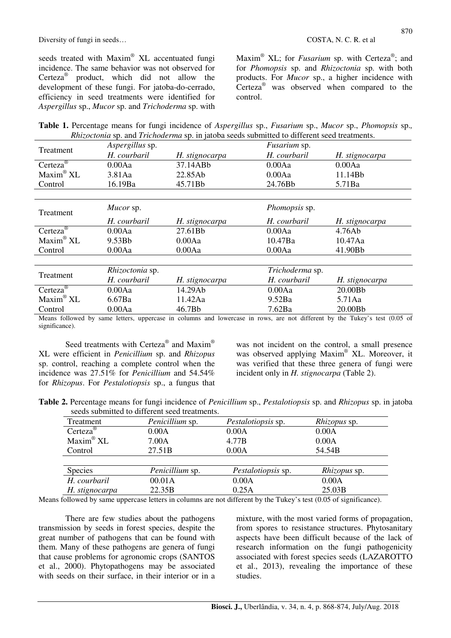seeds treated with Maxim® XL accentuated fungi incidence. The same behavior was not observed for Certeza<sup>®</sup> product, which did not allow the development of these fungi. For jatoba-do-cerrado, efficiency in seed treatments were identified for *Aspergillus* sp., *Mucor* sp. and *Trichoderma* sp. with

Maxim<sup>®</sup> XL; for *Fusarium* sp. with Certeza®; and for *Phomopsis* sp. and *Rhizoctonia* sp. with both products. For *Mucor* sp., a higher incidence with Certeza<sup>®</sup> was observed when compared to the control.

**Table 1.** Percentage means for fungi incidence of *Aspergillus* sp., *Fusarium* sp., *Mucor* sp., *Phomopsis* sp.*, Rhizoctonia* sp. and *Trichoderma* sp. in jatoba seeds submitted to different seed treatments.

| Treatment                                        | Aspergillus sp. |                | <i>Fusarium</i> sp. |                |
|--------------------------------------------------|-----------------|----------------|---------------------|----------------|
|                                                  | H. courbaril    | H. stignocarpa | H. courbaril        | H. stignocarpa |
| Certeza <sup>®</sup>                             | 0.00Aa          | 37.14ABb       | 0.00Aa              | 0.00Aa         |
| $Maxim^@XL$                                      | 3.81Aa          | 22.85Ab        | 0.00Aa              | 11.14Bb        |
| Control                                          | 16.19Ba         | 45.71Bb        | 24.76Bb             | 5.71Ba         |
|                                                  |                 |                |                     |                |
| Treatment                                        | Mucor sp.       |                | Phomopsis sp.       |                |
|                                                  | H. courbaril    | H. stignocarpa | H. courbaril        | H. stignocarpa |
| Certeza <sup>®</sup>                             | 0.00Aa          | 27.61Bb        | 0.00Aa              | 4.76Ab         |
| $Maxim^@XL$                                      | 9.53Bb          | 0.00Aa         | 10.47Ba             | 10.47Aa        |
| Control                                          | 0.00Aa          | 0.00Aa         | 0.00Aa              | 41.90Bb        |
|                                                  |                 |                |                     |                |
| Treatment                                        | Rhizoctonia sp. |                | Trichoderma sp.     |                |
|                                                  | H. courbaril    | H. stignocarpa | H. courbaril        | H. stignocarpa |
| Certeza <sup><math>\overline{\circ}</math></sup> | 0.00Aa          | 14.29Ab        | 0.00Aa              | 20.00Bb        |
| $Maxim^@XL$                                      | 6.67Ba          | 11.42Aa        | 9.52Ba              | 5.71Aa         |
| Control                                          | 0.00Aa          | 46.7Bb         | 7.62Ba              | 20.00Bb        |

Means followed by same letters, uppercase in columns and lowercase in rows, are not different by the Tukey's test (0.05 of significance).

Seed treatments with Certeza® and Maxim® XL were efficient in *Penicillium* sp. and *Rhizopus* sp. control, reaching a complete control when the incidence was 27.51% for *Penicillium* and 54.54% for *Rhizopus*. For *Pestalotiopsis* sp., a fungus that was not incident on the control, a small presence was observed applying Maxim® XL. Moreover, it was verified that these three genera of fungi were incident only in *H. stignocarpa* (Table 2).

**Table 2.** Percentage means for fungi incidence of *Penicillium* sp., *Pestalotiopsis* sp. and *Rhizopus* sp. in jatoba seeds submitted to different seed treatments.

| seeas sachnuca to anterent seea ueatments. |                 |                           |                     |  |  |
|--------------------------------------------|-----------------|---------------------------|---------------------|--|--|
| Treatment                                  | Penicillium sp. | Pestalotiopsis sp.        | <i>Rhizopus</i> sp. |  |  |
| Certeza <sup>®</sup>                       | 0.00A           | 0.00A                     | 0.00A               |  |  |
| $Maxim^@XL$                                | 7.00A           | 4.77B                     | 0.00A               |  |  |
| Control                                    | 27.51B          | 0.00A                     | 54.54B              |  |  |
|                                            |                 |                           |                     |  |  |
| <b>Species</b>                             | Penicillium sp. | <i>Pestalotiopsis</i> sp. | <i>Rhizopus</i> sp. |  |  |
| H. courbaril                               | 00.01A          | 0.00A                     | 0.00A               |  |  |
| H. stignocarpa                             | 22.35B          | 0.25A                     | 25.03B              |  |  |

Means followed by same uppercase letters in columns are not different by the Tukey's test (0.05 of significance).

There are few studies about the pathogens transmission by seeds in forest species, despite the great number of pathogens that can be found with them. Many of these pathogens are genera of fungi that cause problems for agronomic crops (SANTOS et al., 2000). Phytopathogens may be associated with seeds on their surface, in their interior or in a mixture, with the most varied forms of propagation, from spores to resistance structures. Phytosanitary aspects have been difficult because of the lack of research information on the fungi pathogenicity associated with forest species seeds (LAZAROTTO et al., 2013), revealing the importance of these studies.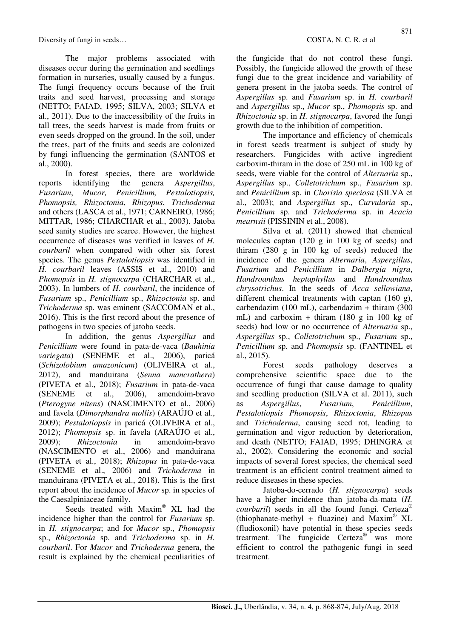The major problems associated with diseases occur during the germination and seedlings formation in nurseries, usually caused by a fungus. The fungi frequency occurs because of the fruit traits and seed harvest, processing and storage (NETTO; FAIAD, 1995; SILVA, 2003; SILVA et al., 2011). Due to the inaccessibility of the fruits in tall trees, the seeds harvest is made from fruits or even seeds dropped on the ground. In the soil, under the trees, part of the fruits and seeds are colonized by fungi influencing the germination (SANTOS et al., 2000).

In forest species, there are worldwide reports identifying the genera *Aspergillus*, *Fusarium*, *Mucor, Penicillium, Pestalotiopsis, Phomopsis, Rhizoctonia*, *Rhizopus*, *Trichoderma* and others (LASCA et al., 1971; CARNEIRO, 1986; MITTAR, 1986; CHARCHAR et al., 2003). Jatoba seed sanity studies are scarce. However, the highest occurrence of diseases was verified in leaves of *H. courbaril* when compared with other six forest species. The genus *Pestalotiopsis* was identified in *H. courbaril* leaves (ASSIS et al., 2010) and *Phomopsis* in *H. stignocarpa* (CHARCHAR et al., 2003). In lumbers of *H. courbaril*, the incidence of *Fusarium* sp., *Penicillium* sp., *Rhizoctonia* sp. and *Trichoderma* sp. was eminent (SACCOMAN et al., 2016). This is the first record about the presence of pathogens in two species of jatoba seeds.

In addition, the genus *Aspergillus* and *Penicillium* were found in pata-de-vaca (*Bauhinia variegata*) (SENEME et al., 2006), paricá (*Schizolobium amazonicum*) (OLIVEIRA et al., 2012), and manduirana (*Senna mancrathera*) (PIVETA et al., 2018); *Fusarium* in pata-de-vaca (SENEME et al., 2006), amendoim-bravo (*Pterogyne nitens*) (NASCIMENTO et al., 2006) and favela (*Dimorphandra mollis*) (ARAÚJO et al., 2009); *Pestalotiopsis* in paricá (OLIVEIRA et al., 2012); *Phomopsis* sp. in favela (ARAÚJO et al., 2009); *Rhizoctonia* in amendoim-bravo (NASCIMENTO et al., 2006) and manduirana (PIVETA et al., 2018); *Rhizopus* in pata-de-vaca (SENEME et al., 2006) and *Trichoderma* in manduirana (PIVETA et al., 2018). This is the first report about the incidence of *Mucor* sp. in species of the Caesalpiniaceae family.

Seeds treated with Maxim® XL had the incidence higher than the control for *Fusarium* sp. in *H. stignocarpa*; and for *Mucor* sp., *Phomopsis* sp., *Rhizoctonia* sp. and *Trichoderma* sp. in *H. courbaril*. For *Mucor* and *Trichoderma* genera, the result is explained by the chemical peculiarities of

the fungicide that do not control these fungi. Possibly, the fungicide allowed the growth of these fungi due to the great incidence and variability of genera present in the jatoba seeds. The control of *Aspergillus* sp. and *Fusarium* sp. in *H. courbaril* and *Aspergillus* sp., *Mucor* sp., *Phomopsis* sp. and *Rhizoctonia* sp. in *H. stignocarpa*, favored the fungi growth due to the inhibition of competition.

The importance and efficiency of chemicals in forest seeds treatment is subject of study by researchers. Fungicides with active ingredient carboxim-thiram in the dose of 250 mL in 100 kg of seeds, were viable for the control of *Alternaria* sp., *Aspergillus* sp., *Colletotrichum* sp., *Fusarium* sp. and *Penicillium* sp. in *Chorisia speciosa* (SILVA et al., 2003); and *Aspergillus* sp., *Curvularia* sp., *Penicillium* sp. and *Trichoderma* sp. in *Acacia mearnsii* (PISSININ et al., 2008).

Silva et al. (2011) showed that chemical molecules captan (120 g in 100 kg of seeds) and thiram (280 g in 100 kg of seeds) reduced the incidence of the genera *Alternaria*, *Aspergillus*, *Fusarium* and *Penicillium* in *Dalbergia nigra*, *Handroanthus heptaphyllus* and *Handroanthus chrysotrichus*. In the seeds of *Acca sellowiana*, different chemical treatments with captan (160 g), carbendazim (100 mL), carbendazim + thiram (300 mL) and carboxim + thiram  $(180 \text{ g in } 100 \text{ kg of})$ seeds) had low or no occurrence of *Alternaria* sp., *Aspergillus* sp., *Colletotrichum* sp., *Fusarium* sp., *Penicillium* sp. and *Phomopsis* sp. (FANTINEL et al., 2015).

Forest seeds pathology deserves a comprehensive scientific space due to the occurrence of fungi that cause damage to quality and seedling production (SILVA et al. 2011), such as *Aspergillus*, *Fusarium*, *Penicillium*, *Pestalotiopsis Phomopsis*, *Rhizoctonia*, *Rhizopus* and *Trichoderma*, causing seed rot, leading to germination and vigor reduction by deterioration, and death (NETTO; FAIAD, 1995; DHINGRA et al., 2002). Considering the economic and social impacts of several forest species, the chemical seed treatment is an efficient control treatment aimed to reduce diseases in these species.

Jatoba-do-cerrado (*H. stignocarpa*) seeds have a higher incidence than jatoba-da-mata (*H. courbaril*) seeds in all the found fungi. Certeza® (thiophanate-methyl + fluazine) and Maxim® XL (fludioxonil) have potential in these species seeds treatment. The fungicide Certeza<sup>®</sup> was more efficient to control the pathogenic fungi in seed treatment.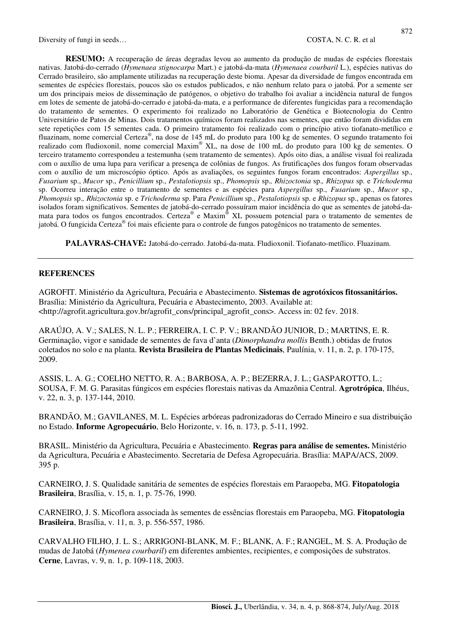**RESUMO:** A recuperação de áreas degradas levou ao aumento da produção de mudas de espécies florestais nativas. Jatobá-do-cerrado (*Hymenaea stignocarpa* Mart.) e jatobá-da-mata (*Hymenaea courbaril* L.), espécies nativas do Cerrado brasileiro, são amplamente utilizadas na recuperação deste bioma. Apesar da diversidade de fungos encontrada em sementes de espécies florestais, poucos são os estudos publicados, e não nenhum relato para o jatobá. Por a semente ser um dos principais meios de disseminação de patógenos, o objetivo do trabalho foi avaliar a incidência natural de fungos em lotes de semente de jatobá-do-cerrado e jatobá-da-mata, e a performance de diferentes fungicidas para a recomendação do tratamento de sementes. O experimento foi realizado no Laboratório de Genética e Biotecnologia do Centro Universitário de Patos de Minas. Dois tratamentos químicos foram realizados nas sementes, que então foram divididas em sete repetições com 15 sementes cada. O primeiro tratamento foi realizado com o princípio ativo tiofanato-metílico e fluazinam, nome comercial Certeza® , na dose de 145 mL do produto para 100 kg de sementes. O segundo tratamento foi realizado com fludioxonil, nome comercial Maxim® XL, na dose de 100 mL do produto para 100 kg de sementes. O terceiro tratamento correspondeu a testemunha (sem tratamento de sementes). Após oito dias, a análise visual foi realizada com o auxílio de uma lupa para verificar a presença de colônias de fungos. As frutificações dos fungos foram observadas com o auxílio de um microscópio óptico. Após as avaliações, os seguintes fungos foram encontrados: *Aspergillus* sp., *Fusarium* sp., *Mucor* sp., *Penicillium* sp., *Pestalotiopsis* sp., *Phomopsis* sp.*, Rhizoctonia* sp.*, Rhizopus* sp. e *Trichoderma*  sp. Ocorreu interação entre o tratamento de sementes e as espécies para *Aspergillus* sp., *Fusarium* sp., *Mucor* sp., *Phomopsis* sp.*, Rhizoctonia* sp. e *Trichoderma* sp. Para *Penicillium* sp., *Pestalotiopsis* sp. e *Rhizopus* sp., apenas os fatores isolados foram significativos. Sementes de jatobá-do-cerrado possuíram maior incidência do que as sementes de jatobá-damata para todos os fungos encontrados. Certeza® e Maxim<sup>®</sup> XL possuem potencial para o tratamento de sementes de jatobá. O fungicida Certeza® foi mais eficiente para o controle de fungos patogênicos no tratamento de sementes.

**PALAVRAS-CHAVE:** Jatobá-do-cerrado. Jatobá-da-mata. Fludioxonil. Tiofanato-metílico. Fluazinam.

#### **REFERENCES**

AGROFIT. Ministério da Agricultura, Pecuária e Abastecimento. **Sistemas de agrotóxicos fitossanitários.**  Brasília: Ministério da Agricultura, Pecuária e Abastecimento, 2003. Available at: <http://agrofit.agricultura.gov.br/agrofit\_cons/principal\_agrofit\_cons>. Access in: 02 fev. 2018.

ARAÚJO, A. V.; SALES, N. L. P.; FERREIRA, I. C. P. V.; BRANDÃO JUNIOR, D.; MARTINS, E. R. Germinação, vigor e sanidade de sementes de fava d'anta (*Dimorphandra mollis* Benth.) obtidas de frutos coletados no solo e na planta. **Revista Brasileira de Plantas Medicinais**, Paulínia, v. 11, n. 2, p. 170-175, 2009.

ASSIS, L. A. G.; COELHO NETTO, R. A.; BARBOSA, A. P.; BEZERRA, J. L.; GASPAROTTO, L.; SOUSA, F. M. G. Parasitas fúngicos em espécies florestais nativas da Amazônia Central. **Agrotrópica**, Ilhéus, v. 22, n. 3, p. 137-144, 2010.

BRANDÃO, M.; GAVILANES, M. L. Espécies arbóreas padronizadoras do Cerrado Mineiro e sua distribuição no Estado. **Informe Agropecuário**, Belo Horizonte, v. 16, n. 173, p. 5-11, 1992.

BRASIL. Ministério da Agricultura, Pecuária e Abastecimento. **Regras para análise de sementes.** Ministério da Agricultura, Pecuária e Abastecimento. Secretaria de Defesa Agropecuária. Brasília: MAPA/ACS, 2009. 395 p.

CARNEIRO, J. S. Qualidade sanitária de sementes de espécies florestais em Paraopeba, MG. **Fitopatologia Brasileira**, Brasília, v. 15, n. 1, p. 75-76, 1990.

CARNEIRO, J. S. Micoflora associada às sementes de essências florestais em Paraopeba, MG. **Fitopatologia Brasileira**, Brasília, v. 11, n. 3, p. 556-557, 1986.

CARVALHO FILHO, J. L. S.; ARRIGONI-BLANK, M. F.; BLANK, A. F.; RANGEL, M. S. A. Produção de mudas de Jatobá (*Hymenea courbaril*) em diferentes ambientes, recipientes, e composições de substratos. **Cerne**, Lavras, v. 9, n. 1, p. 109-118, 2003.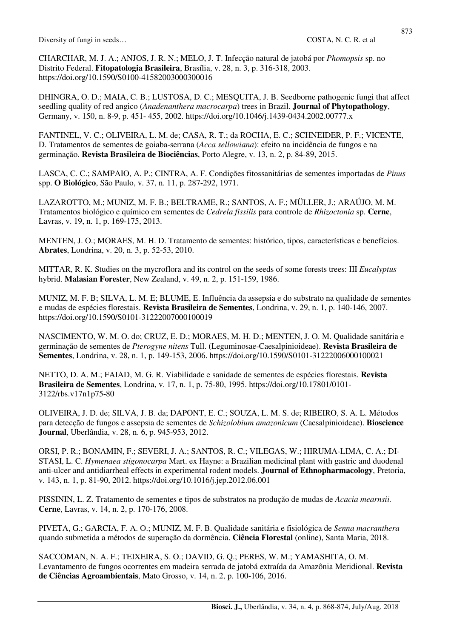CHARCHAR, M. J. A.; ANJOS, J. R. N.; MELO, J. T. Infecção natural de jatobá por *Phomopsis* sp. no Distrito Federal. **Fitopatologia Brasileira**, Brasília, v. 28, n. 3, p. 316-318, 2003. https://doi.org/10.1590/S0100-41582003000300016

DHINGRA, O. D.; MAIA, C. B.; LUSTOSA, D. C.; MESQUITA, J. B. Seedborne pathogenic fungi that affect seedling quality of red angico (*Anadenanthera macrocarpa*) trees in Brazil. **Journal of Phytopathology**, Germany, v. 150, n. 8-9, p. 451- 455, 2002. https://doi.org/10.1046/j.1439-0434.2002.00777.x

FANTINEL, V. C.; OLIVEIRA, L. M. de; CASA, R. T.; da ROCHA, E. C.; SCHNEIDER, P. F.; VICENTE, D. Tratamentos de sementes de goiaba-serrana (*Acca sellowiana*): efeito na incidência de fungos e na germinação. **Revista Brasileira de Biociências**, Porto Alegre, v. 13, n. 2, p. 84-89, 2015.

LASCA, C. C.; SAMPAIO, A. P.; CINTRA, A. F. Condições fitossanitárias de sementes importadas de *Pinus*  spp. **O Biológico**, São Paulo, v. 37, n. 11, p. 287-292, 1971.

LAZAROTTO, M.; MUNIZ, M. F. B.; BELTRAME, R.; SANTOS, A. F.; MÜLLER, J.; ARAÚJO, M. M. Tratamentos biológico e químico em sementes de *Cedrela fissilis* para controle de *Rhizoctonia* sp. **Cerne**, Lavras, v. 19, n. 1, p. 169-175, 2013.

MENTEN, J. O.; MORAES, M. H. D. Tratamento de sementes: histórico, tipos, características e benefícios. **Abrates**, Londrina, v. 20, n. 3, p. 52-53, 2010.

MITTAR, R. K. Studies on the mycroflora and its control on the seeds of some forests trees: III *Eucalyptus* hybrid. **Malasian Forester**, New Zealand, v. 49, n. 2, p. 151-159, 1986.

MUNIZ, M. F. B; SILVA, L. M. E; BLUME, E. Influência da assepsia e do substrato na qualidade de sementes e mudas de espécies florestais. **Revista Brasileira de Sementes**, Londrina, v. 29, n. 1, p. 140-146, 2007. https://doi.org/10.1590/S0101-31222007000100019

NASCIMENTO, W. M. O. do; CRUZ, E. D.; MORAES, M. H. D.; MENTEN, J. O. M. Qualidade sanitária e germinação de sementes de *Pterogyne nitens* Tull. (Leguminosae-Caesalpinioideae). **Revista Brasileira de Sementes**, Londrina, v. 28, n. 1, p. 149-153, 2006. https://doi.org/10.1590/S0101-31222006000100021

NETTO, D. A. M.; FAIAD, M. G. R. Viabilidade e sanidade de sementes de espécies florestais. **Revista Brasileira de Sementes**, Londrina, v. 17, n. 1, p. 75-80, 1995. https://doi.org/10.17801/0101- 3122/rbs.v17n1p75-80

OLIVEIRA, J. D. de; SILVA, J. B. da; DAPONT, E. C.; SOUZA, L. M. S. de; RIBEIRO, S. A. L. Métodos para detecção de fungos e assepsia de sementes de *Schizolobium amazonicum* (Caesalpinioideae). **Bioscience Journal**, Uberlândia, v. 28, n. 6, p. 945-953, 2012.

ORSI, P. R.; BONAMIN, F.; SEVERI, J. A.; SANTOS, R. C.; VILEGAS, W.; HIRUMA-LIMA, C. A.; DI-STASI, L. C. *Hymenaea stigonocarpa* Mart. ex Hayne: a Brazilian medicinal plant with gastric and duodenal anti-ulcer and antidiarrheal effects in experimental rodent models. **Journal of Ethnopharmacology**, Pretoria, v. 143, n. 1, p. 81-90, 2012. https://doi.org/10.1016/j.jep.2012.06.001

PISSININ, L. Z. Tratamento de sementes e tipos de substratos na produção de mudas de *Acacia mearnsii.* **Cerne**, Lavras, v. 14, n. 2, p. 170-176, 2008.

PIVETA, G.; GARCIA, F. A. O.; MUNIZ, M. F. B. Qualidade sanitária e fisiológica de *Senna macranthera* quando submetida a métodos de superação da dormência. **Ciência Florestal** (online), Santa Maria, 2018.

SACCOMAN, N. A. F.; TEIXEIRA, S. O.; DAVID, G. Q.; PERES, W. M.; YAMASHITA, O. M. Levantamento de fungos ocorrentes em madeira serrada de jatobá extraída da Amazônia Meridional. **Revista de Ciências Agroambientais**, Mato Grosso, v. 14, n. 2, p. 100-106, 2016.